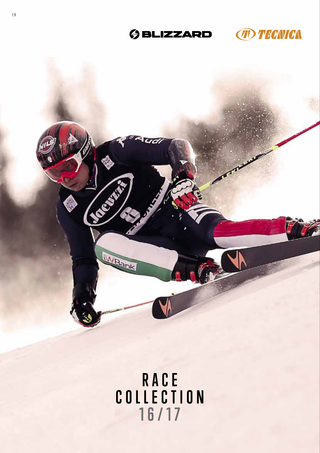# **GBLIZZARD MECILCA**





# **RACE COLLECTION 16/17**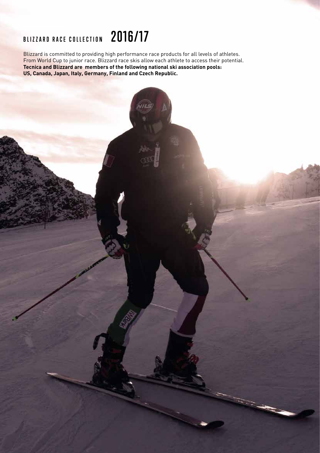### **BLIZZARD RACE COLLECTION 2016/17**

Blizzard is committed to providing high performance race products for all levels of athletes. From World Cup to junior race. Blizzard race skis allow each athlete to access their potential. **Tecnica and Blizzard are members of the following national ski association pools: US, Canada, Japan, Italy, Germany, Finland and Czech Republic.**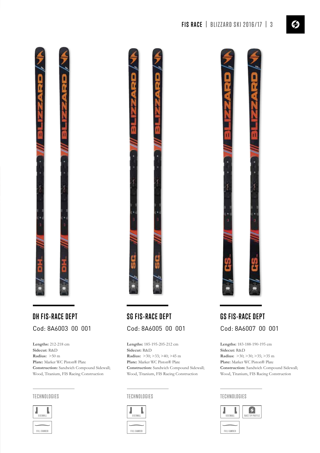

# Cod: 8A6003 00 001 Cod: 8A6005 00 001 Cod: 8A6007 00 001

**Lengths:** 212-218 cm **Sidecut:** R&D **Radius:** >50 m **Plate:** Marker WC Piston® Plate **Construction:** Sandwich Compound Sidewall; Wood, Titanium, FIS Racing Construction

### **TECHNOLOGIES TECHNOLOGIES TECHNOLOGIES**



# **DH FIS-RACE DEPT SG FIS-RACE DEPT GS FIS-RACE DEPT**

**Lengths:** 185-195-205-212 cm **Sidecut:** R&D **Radius:** >30; >33; >40; >45 m **Plate:** Marker WC Piston® Plate **Construction:** Sandwich Compound Sidewall; Wood, Titanium, FIS Racing Construction





**Lengths:** 183-188-190-195 cm **Sidecut:** R&D **Radius:** >30; >30; >35; >35 m **Plate:** Marker WC Piston® Plate **Construction:** Sandwich Compound Sidewall; Wood, Titanium, FIS Racing Construction

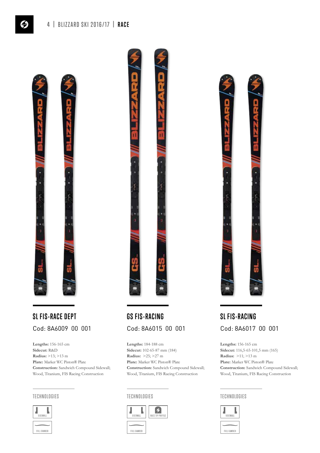

# **SL FIS-RACE DEPT GS FIS-RACING SL FIS-RACING**

**Lengths:** 156-165 cm **Sidecut:** R&D **Radius:** >13; >13 m **Plate:** Marker WC Piston® Plate **Construction:** Sandwich Compound Sidewall; Wood, Titanium, FIS Racing Construction





# Cod: 8A6009 00 001 Cod: 8A6015 00 001 Cod: 8A6017 00 001

**Lengths:** 184-188 cm **Sidecut:** 102-65-87 mm (184) **Radius:** >25; >27 m **Plate:** Marker WC Piston® Plate **Construction:** Sandwich Compound Sidewall; Wood, Titanium, FIS Racing Construction





**Lengths:** 156-165 cm **Sidecut:** 116,5-65-101,5 mm (165) **Radius:** >11; >13 m **Plate:** Marker WC Piston® Plate **Construction:** Sandwich Compound Sidewall; Wood, Titanium, FIS Racing Construction

### **TECHNOLOGIES TECHNOLOGIES TECHNOLOGIES**

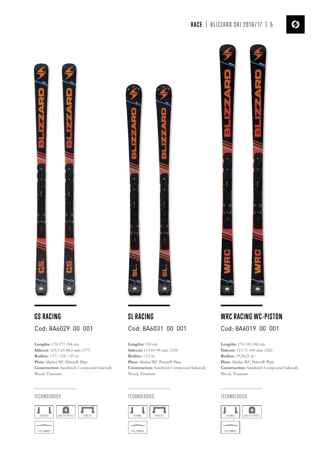

# **GS RACING** Cod: 8A6029 00 001

**Lengths:** 170-177-184 cm **Sidecut:** 103,5-65-88,5 mm (177) **Radius:** >17; >23; >25 m **Plate:** Marker WC Piston® Plate **Construction:** Sandwich Compound Sidewall; Wood, Titanium

### **TECHNOLOGIES**





# **SL RACING** Cod: 8A6031 00 001

**Lengths:** 150 cm **Sidecut:** 113-65-98 mm (150) **Radius:** >12 m **Plate:** Marker WC Piston® Plate **Construction:** Sandwich Compound Sidewall; Wood, Titanium

### **TECHNOLOGIES**





# **WRC RACING WC-PISTON** Cod: 8A6019 00 001

**Lengths:** 176-182-186 cm **Sidecut:** 115-71-100 mm (182) **Radius:** 19;20;21 m **Plate:** Marker WC Piston® Plate **Construction:** Sandwich Compound Sidewall; Wood, Titanium

### **TECHNOLOGIES**

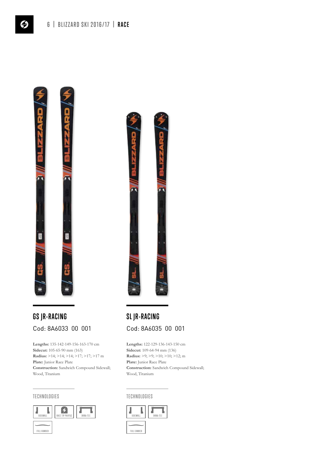

# **GS JR-RACING SL JR-RACING** Cod: 8A6033 00 001 Cod: 8A6035 00 001

**Lengths:** 135-142-149-156-163-170 cm **Sidecut:** 105-65-90 mm (163) **Radius:** >14; >14; >14; >17; >17; >17 m **Plate:** Junior Race Plate **Construction:** Sandwich Compound Sidewall; Wood, Titanium





**Lengths:** 122-129-136-143-150 cm **Sidecut:** 109-64-94 mm (136) **Radius:** >9; >9; >10; >10; >12; m **Plate:** Junior Race Plate **Construction:** Sandwich Compound Sidewall; Wood, Titanium

**TECHNOLOGIES TECHNOLOGIES**

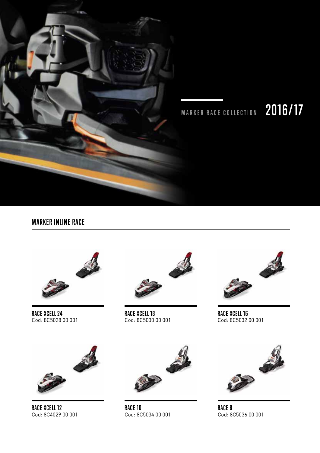

# **MARKER RACE COLLECTION 2016/17**

## **MARKER INLINE RACE**



**RACE XCELL 24** Cod: 8C5028 00 001



**RACE XCELL 18** Cod: 8C5030 00 001



**RACE XCELL 16** Cod: 8C5032 00 001



**RACE XCELL 12** Cod: 8C4029 00 001



**RACE 10** Cod: 8C5034 00 001



**RACE 8** Cod: 8C5036 00 001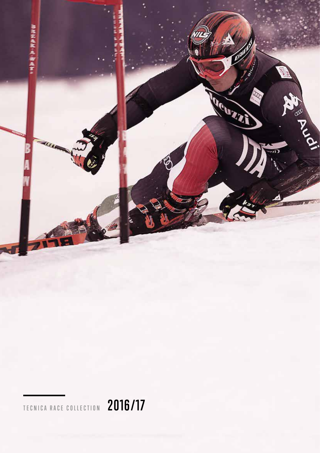

**TECNICA RACE COLLECTION 2016/17**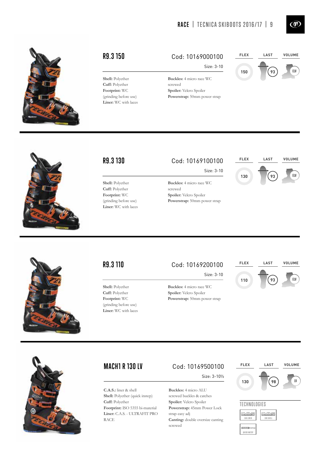

**R9.3 150** Cod: 10169000100 **FLEX**



 $\binom{1}{k}$ 

**Shell:** Polyether **Cuff:** Polyether **Footprint:** WC (grinding before use) **Liner:** WC with laces

# Size: 3-10

**Buckles:** 4 micro race WC screwed **Spoiler:** Velcro Spoiler **Powerstrap:** 50mm power strap

**Shell:** Polyether **Cuff:** Polyether **Footprint:** WC (grinding before use) **Liner:** WC with laces

# **R9.3 130** Cod: 10169100100 **FLEX**

Size: 3-10

**Buckles:** 4 micro race WC screwed **Spoiler:** Velcro Spoiler **Powerstrap:** 50mm power strap





**Shell:** Polyether **Cuff:** Polyether **Footprint:** WC (grinding before use) **Liner:** WC with laces

### **R9.3 110** Cod: 10169200100 **FLEX**

**Buckles:** 4 micro race WC **Spoiler:** Velcro Spoiler **Powerstrap:** 50mm power strap

Size: 3-10





**C.A.S.:** liner & shell **Shell:** Polyether (quick instep) **Cuff:** Polyether **Footprint:** ISO 5355 bi-material **Liner:** C.A.S. - ULTRAFIT PRO RACE

## **MACH1 R 130 LV** Cod: 10169500100 **FLEX**

Size: 3-10½

**Buckles:** 4 micro ALU screwed buckles & catches **Spoiler:** Velcro Spoiler **Powerstrap:** 45mm Power Lock strap easy adj **Canting:** double oversize canting screwed

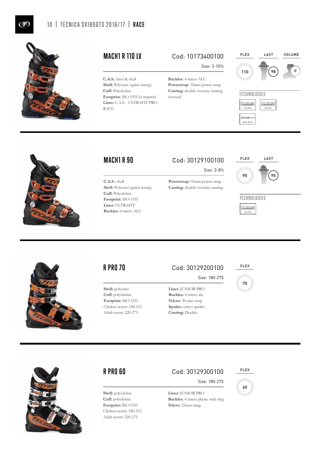

**C.A.S.:** liner & shell **Shell:** Polyester (quick instep) **Cuff:** Polyolefine **Footprint:** ISO 5355 bi-material **Liner:** C.A.S. - ULTRAFIT PRO RACE

## **MACH1 R 110 LV** Cod: 10173400100 **FLEX**

**Buckles:** 4 micro ALU **Powerstrap:** 35mm power strap **Canting:** double oversize canting

screwed

Size: 3-10½



**TECHNOLOGIES C-A-S G-A-S** CAS LINER CAS SHE **QuickDn** QUICK INSTEP



**C.A.S.:** shell

**Cuff:** Polyolefine **Footprint:** ISO 5355 **Liner:** ULTRAFIT **Buckles:** 4 micro ALU

**Shell:** Polyester (quick instep)

# **MACH1 R 90** Cod: 30129100100 **FLEX**

Size: 3-8½

**Powerstrap:** 35mm power strap **Canting:** double oversize canting



### **TECHNOLOGIES**





**Shell:** polyester **Cuff:** polyolefine **Footprint:** ISO 5355 Chidren norm: 180-215 Adult norm: 220-275

## **R PRO 70** Cod: 30129200100 **FLEX**

**Velcro:** 30 mm strap Spoiler: velcro spoiler **Canting:** Double

Size: 180-275

### **Liner:** JUNIOR PRO **Buckles:** 4 micro alu

**70**



**Shell:** polyolefine **Cuff:** polyolefine **Footprint:** ISO 5355 Chidren norm: 180-215 Adult norm: 220-275

## **R PRO 60** Cod: 30129300100 **FLEX**

Size: 180-275

**Liner:** JUNIOR PRO **Buckles:** 4 micro plastic with ring **Velcro:** 25mm strap

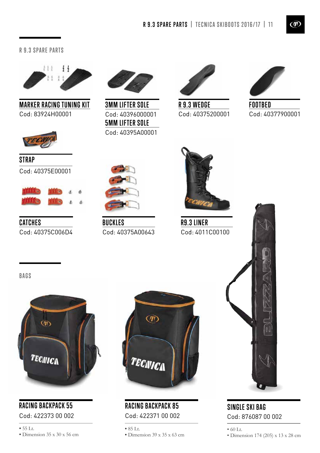### **R 9.3 SPARE PARTS**



**MARKER RACING TUNING KIT** Cod: 83924H00001



**STRAP** Cod: 40375E00001



**CATCHES** Cod: 40375C006D4



**5MM LIFTER SOLE** Cod: 40395A00001 Cod: 40396000001 **3MM LIFTER SOLE R 9.3 WEDGE**



Cod: 40375200001



**FOOTBED** Cod: 40377900001



**BUCKLES** Cod: 40375A00643



**R9.3 LINER** Cod: 4011C00100





# **RACING BACKPACK 55**

Cod: 422373 00 002



**RACING BACKPACK 85** Cod: 422371 00 002

**•** 85 Lt.

**•** Dimension 39 x 35 x 63 cm



# **SINGLE SKI BAG** Cod: 876087 00 002

• 60 Lt.

• Dimension 174 (205) x 13 x 28 cm

 $\circledm$